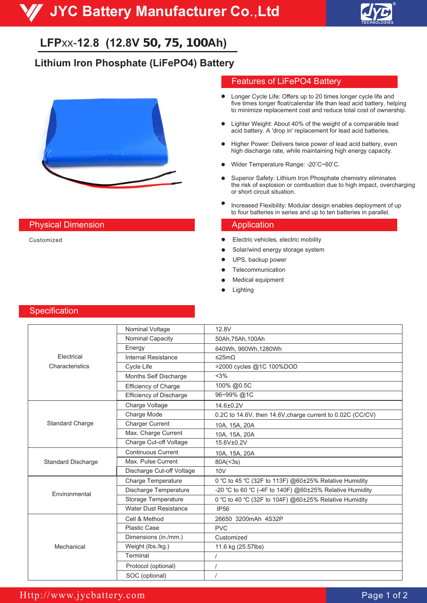

# **LFP**xx-**12**.**8 (12.8V 50, 75, 100Ah)**

# **Lithium Iron Phosphate (LiFePO4) Battery**



### **Physical Dimension Application** Application

Customized

#### Features of LiFePO4 Battery

- $\bullet$ Longer Cycle Life: Offers up to 20 times longer cycle life and five times longer float/calendar life than lead acid battery, helping to minimize replacement cost and reduce total cost of ownership.
- Lighter Weight: About 40% of the weight of a comparable lead  $\bullet$ acid battery. A 'drop in' replacement for lead acid batteries.
- Higher Power: Delivers twice power of lead acid battery, even high discharge rate, while maintaining high energy capacity.
- Wider Temperature Range: -20°C~60°C.
- Superior Safety: Lithium Iron Phosphate chemistry eliminates  $\bullet$ the risk of explosion or combustion due to high impact, overcharging or short circuit situation.
- Increased Flexibility: Modular design enables deployment of up to four batteries in series and up to ten batteries in parallel.

- Electric vehicles, electric mobility  $\bullet$
- Solar/wind energy storage system
- UPS, backup power
- Telecommunication
- Medical equipment
- Lighting

#### **Specification**

|                           | Nominal Voltage                | 12.8V                                                      |
|---------------------------|--------------------------------|------------------------------------------------------------|
|                           | Nominal Capacity               | 50Ah, 75Ah, 100Ah                                          |
|                           | Energy                         | 640Wh, 960Wh, 1280Wh                                       |
| Electrical                | Internal Resistance            | ≤25mΩ                                                      |
| Characteristics           | <b>Cycle Life</b>              | >2000 cycles @1C 100%DOD                                   |
|                           | Months Self Discharge          | <3%                                                        |
|                           | Efficiency of Charge           | 100% @0.5C                                                 |
|                           | <b>Efficiency of Discharge</b> | 96~99%@1C                                                  |
| <b>Standard Charge</b>    | Charge Voltage                 | 14.6±0.2V                                                  |
|                           | Charge Mode                    | 0.2C to 14.6V, then 14.6V, charge current to 0.02C (CC/CV) |
|                           | <b>Charger Current</b>         | 10A, 15A, 20A                                              |
|                           | Max. Charge Current            | 10A, 15A, 20A                                              |
|                           | Charge Cut-off Voltage         | 15.6V±0.2V                                                 |
| <b>Standard Discharge</b> | <b>Continuous Current</b>      | 10A, 15A, 20A                                              |
|                           | Max. Pulse Current             | 80A(<3s)                                                   |
|                           | Discharge Cut-off Voltage      | 10V                                                        |
| Environmental             | <b>Charge Temperature</b>      | 0 °C to 45 °C (32F to 113F) @60±25% Relative Humidity      |
|                           | Discharge Temperature          | -20 °C to 60 °C (-4F to 140F) @60±25% Relative Humidity    |
|                           | Storage Temperature            | 0 °C to 40 °C (32F to 104F) @60±25% Relative Humidity      |
|                           | <b>Water Dust Resistance</b>   | <b>IP56</b>                                                |
| Mechanical                | Cell & Method                  | 26650 3200mAh 4S32P                                        |
|                           | <b>Plastic Case</b>            | <b>PVC</b>                                                 |
|                           | Dimensions (in./mm.)           | Customized                                                 |
|                           | Weight (lbs./kg.)              | 11.6 kg (25.57lbs)                                         |
|                           | Terminal                       |                                                            |
|                           | Protocol (optional)            |                                                            |
|                           | SOC (optional)                 |                                                            |